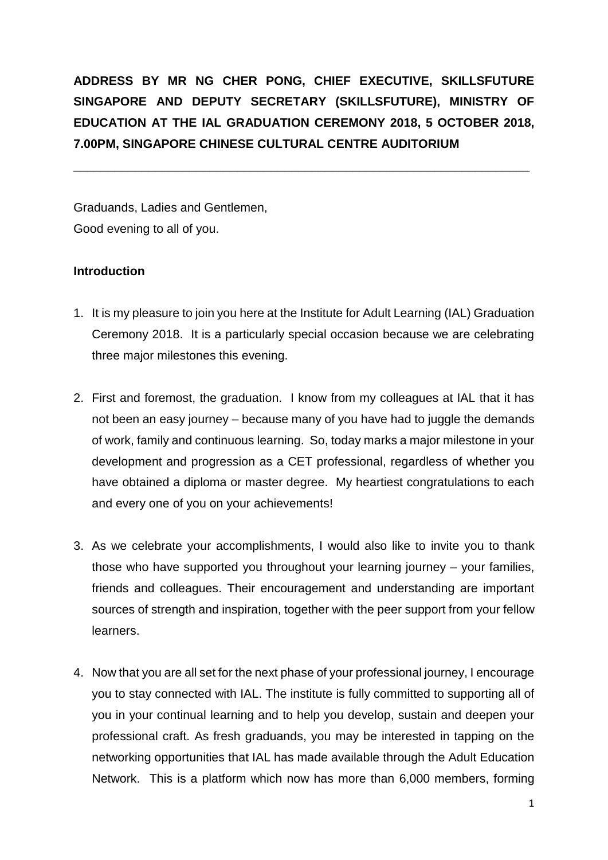**ADDRESS BY MR NG CHER PONG, CHIEF EXECUTIVE, SKILLSFUTURE SINGAPORE AND DEPUTY SECRETARY (SKILLSFUTURE), MINISTRY OF EDUCATION AT THE IAL GRADUATION CEREMONY 2018, 5 OCTOBER 2018, 7.00PM, SINGAPORE CHINESE CULTURAL CENTRE AUDITORIUM** 

\_\_\_\_\_\_\_\_\_\_\_\_\_\_\_\_\_\_\_\_\_\_\_\_\_\_\_\_\_\_\_\_\_\_\_\_\_\_\_\_\_\_\_\_\_\_\_\_\_\_\_\_\_\_\_\_\_\_\_\_\_\_\_\_\_\_\_

Graduands, Ladies and Gentlemen, Good evening to all of you.

## **Introduction**

- 1. It is my pleasure to join you here at the Institute for Adult Learning (IAL) Graduation Ceremony 2018. It is a particularly special occasion because we are celebrating three major milestones this evening.
- 2. First and foremost, the graduation. I know from my colleagues at IAL that it has not been an easy journey – because many of you have had to juggle the demands of work, family and continuous learning. So, today marks a major milestone in your development and progression as a CET professional, regardless of whether you have obtained a diploma or master degree. My heartiest congratulations to each and every one of you on your achievements!
- 3. As we celebrate your accomplishments, I would also like to invite you to thank those who have supported you throughout your learning journey – your families, friends and colleagues. Their encouragement and understanding are important sources of strength and inspiration, together with the peer support from your fellow learners.
- 4. Now that you are all set for the next phase of your professional journey, I encourage you to stay connected with IAL. The institute is fully committed to supporting all of you in your continual learning and to help you develop, sustain and deepen your professional craft. As fresh graduands, you may be interested in tapping on the networking opportunities that IAL has made available through the Adult Education Network. This is a platform which now has more than 6,000 members, forming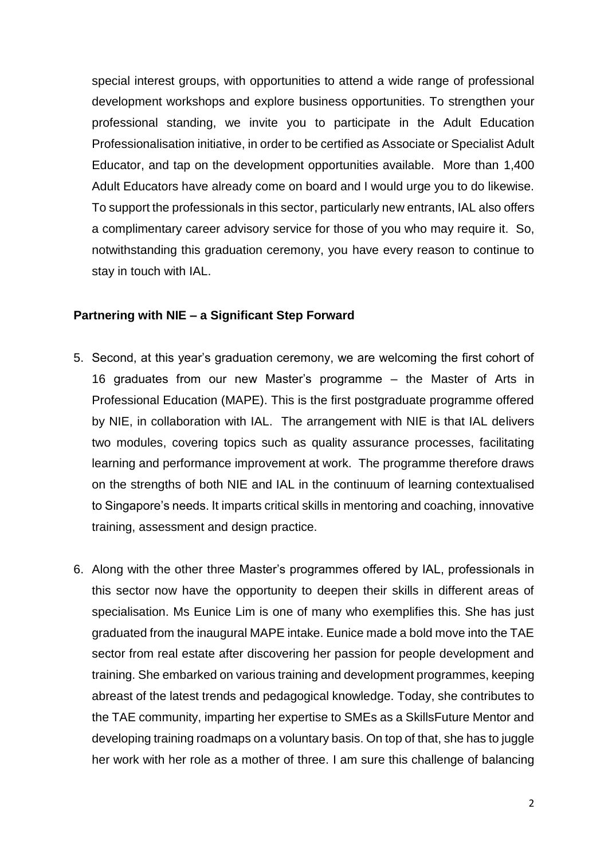special interest groups, with opportunities to attend a wide range of professional development workshops and explore business opportunities. To strengthen your professional standing, we invite you to participate in the Adult Education Professionalisation initiative, in order to be certified as Associate or Specialist Adult Educator, and tap on the development opportunities available. More than 1,400 Adult Educators have already come on board and I would urge you to do likewise. To support the professionals in this sector, particularly new entrants, IAL also offers a complimentary career advisory service for those of you who may require it. So, notwithstanding this graduation ceremony, you have every reason to continue to stay in touch with IAL.

## **Partnering with NIE – a Significant Step Forward**

- 5. Second, at this year's graduation ceremony, we are welcoming the first cohort of 16 graduates from our new Master's programme – the Master of Arts in Professional Education (MAPE). This is the first postgraduate programme offered by NIE, in collaboration with IAL. The arrangement with NIE is that IAL delivers two modules, covering topics such as quality assurance processes, facilitating learning and performance improvement at work. The programme therefore draws on the strengths of both NIE and IAL in the continuum of learning contextualised to Singapore's needs. It imparts critical skills in mentoring and coaching, innovative training, assessment and design practice.
- 6. Along with the other three Master's programmes offered by IAL, professionals in this sector now have the opportunity to deepen their skills in different areas of specialisation. Ms Eunice Lim is one of many who exemplifies this. She has just graduated from the inaugural MAPE intake. Eunice made a bold move into the TAE sector from real estate after discovering her passion for people development and training. She embarked on various training and development programmes, keeping abreast of the latest trends and pedagogical knowledge. Today, she contributes to the TAE community, imparting her expertise to SMEs as a SkillsFuture Mentor and developing training roadmaps on a voluntary basis. On top of that, she has to juggle her work with her role as a mother of three. I am sure this challenge of balancing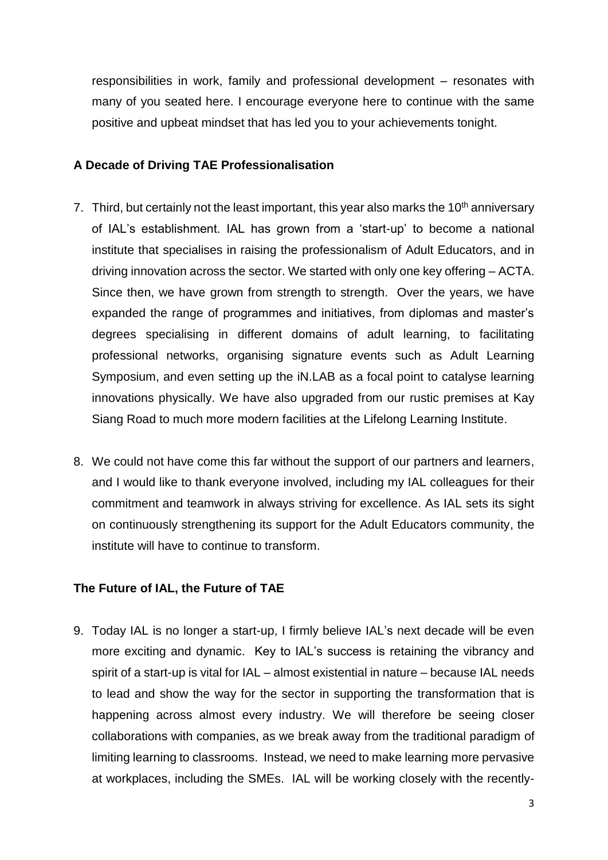responsibilities in work, family and professional development – resonates with many of you seated here. I encourage everyone here to continue with the same positive and upbeat mindset that has led you to your achievements tonight.

## **A Decade of Driving TAE Professionalisation**

- 7. Third, but certainly not the least important, this year also marks the 10<sup>th</sup> anniversary of IAL's establishment. IAL has grown from a 'start-up' to become a national institute that specialises in raising the professionalism of Adult Educators, and in driving innovation across the sector. We started with only one key offering – ACTA. Since then, we have grown from strength to strength. Over the years, we have expanded the range of programmes and initiatives, from diplomas and master's degrees specialising in different domains of adult learning, to facilitating professional networks, organising signature events such as Adult Learning Symposium, and even setting up the iN.LAB as a focal point to catalyse learning innovations physically. We have also upgraded from our rustic premises at Kay Siang Road to much more modern facilities at the Lifelong Learning Institute.
- 8. We could not have come this far without the support of our partners and learners, and I would like to thank everyone involved, including my IAL colleagues for their commitment and teamwork in always striving for excellence. As IAL sets its sight on continuously strengthening its support for the Adult Educators community, the institute will have to continue to transform.

## **The Future of IAL, the Future of TAE**

9. Today IAL is no longer a start-up, I firmly believe IAL's next decade will be even more exciting and dynamic. Key to IAL's success is retaining the vibrancy and spirit of a start-up is vital for IAL – almost existential in nature – because IAL needs to lead and show the way for the sector in supporting the transformation that is happening across almost every industry. We will therefore be seeing closer collaborations with companies, as we break away from the traditional paradigm of limiting learning to classrooms. Instead, we need to make learning more pervasive at workplaces, including the SMEs. IAL will be working closely with the recently